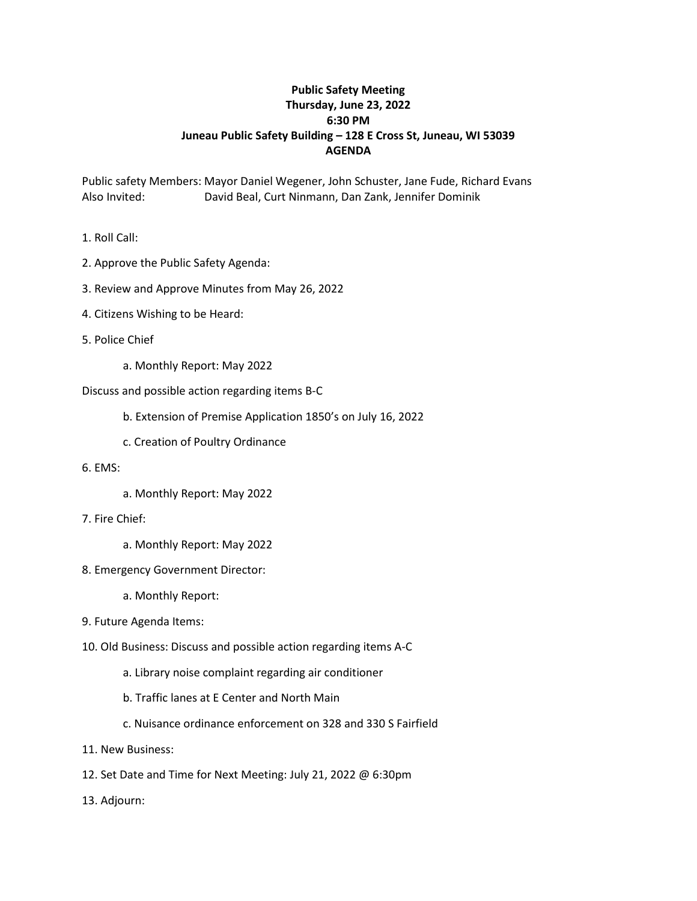## **Public Safety Meeting Thursday, June 23, 2022 6:30 PM Juneau Public Safety Building – 128 E Cross St, Juneau, WI 53039 AGENDA**

Public safety Members: Mayor Daniel Wegener, John Schuster, Jane Fude, Richard Evans Also Invited: David Beal, Curt Ninmann, Dan Zank, Jennifer Dominik

- 1. Roll Call:
- 2. Approve the Public Safety Agenda:
- 3. Review and Approve Minutes from May 26, 2022
- 4. Citizens Wishing to be Heard:
- 5. Police Chief
	- a. Monthly Report: May 2022
- Discuss and possible action regarding items B-C
	- b. Extension of Premise Application 1850's on July 16, 2022
	- c. Creation of Poultry Ordinance
- 6. EMS:
	- a. Monthly Report: May 2022
- 7. Fire Chief:
	- a. Monthly Report: May 2022
- 8. Emergency Government Director:
	- a. Monthly Report:
- 9. Future Agenda Items:
- 10. Old Business: Discuss and possible action regarding items A-C
	- a. Library noise complaint regarding air conditioner
	- b. Traffic lanes at E Center and North Main
	- c. Nuisance ordinance enforcement on 328 and 330 S Fairfield
- 11. New Business:
- 12. Set Date and Time for Next Meeting: July 21, 2022 @ 6:30pm
- 13. Adjourn: